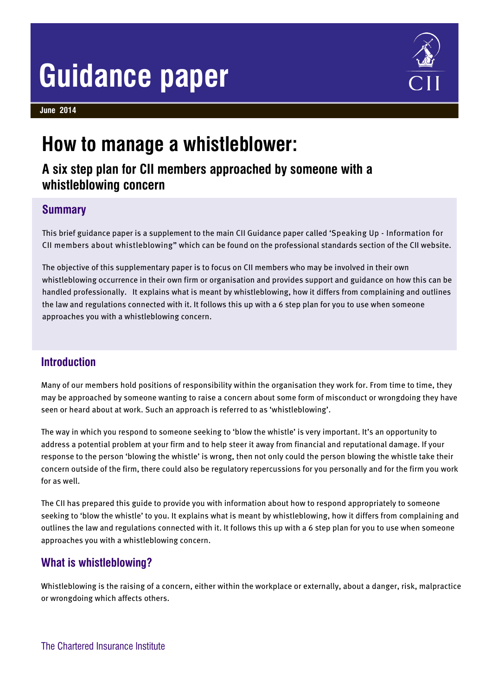# **Guidance paper**

**June 2014**



# **How to manage a whistleblower:**

**A six step plan for CII members approached by someone with a whistleblowing concern**

# **Summary**

This brief guidance paper is a supplement to the main CII Guidance paper called 'Speaking Up - Information for CII members about whistleblowing" which can be found on the professional standards section of the CII website.

The objective of this supplementary paper is to focus on CII members who may be involved in their own whistleblowing occurrence in their own firm or organisation and provides support and guidance on how this can be handled professionally. It explains what is meant by whistleblowing, how it differs from complaining and outlines the law and regulations connected with it. It follows this up with a 6 step plan for you to use when someone approaches you with a whistleblowing concern.

# **Introduction**

Many of our members hold positions of responsibility within the organisation they work for. From time to time, they may be approached by someone wanting to raise a concern about some form of misconduct or wrongdoing they have seen or heard about at work. Such an approach is referred to as 'whistleblowing'.

The way in which you respond to someone seeking to 'blow the whistle' is very important. It's an opportunity to address a potential problem at your firm and to help steer it away from financial and reputational damage. If your response to the person 'blowing the whistle' is wrong, then not only could the person blowing the whistle take their concern outside of the firm, there could also be regulatory repercussions for you personally and for the firm you work for as well.

The CII has prepared this guide to provide you with information about how to respond appropriately to someone seeking to 'blow the whistle' to you. It explains what is meant by whistleblowing, how it differs from complaining and outlines the law and regulations connected with it. It follows this up with a 6 step plan for you to use when someone approaches you with a whistleblowing concern.

# **What is whistleblowing?**

Whistleblowing is the raising of a concern, either within the workplace or externally, about a danger, risk, malpractice or wrongdoing which affects others.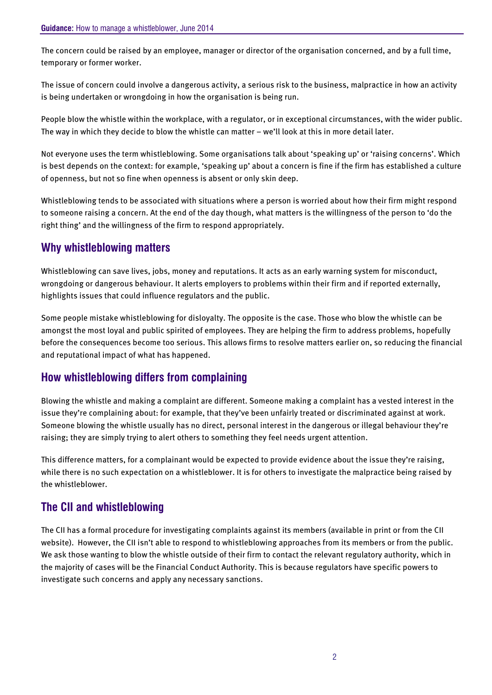The concern could be raised by an employee, manager or director of the organisation concerned, and by a full time, temporary or former worker.

The issue of concern could involve a dangerous activity, a serious risk to the business, malpractice in how an activity is being undertaken or wrongdoing in how the organisation is being run.

People blow the whistle within the workplace, with a regulator, or in exceptional circumstances, with the wider public. The way in which they decide to blow the whistle can matter – we'll look at this in more detail later.

Not everyone uses the term whistleblowing. Some organisations talk about 'speaking up' or 'raising concerns'. Which is best depends on the context: for example, 'speaking up' about a concern is fine if the firm has established a culture of openness, but not so fine when openness is absent or only skin deep.

Whistleblowing tends to be associated with situations where a person is worried about how their firm might respond to someone raising a concern. At the end of the day though, what matters is the willingness of the person to 'do the right thing' and the willingness of the firm to respond appropriately.

### **Why whistleblowing matters**

Whistleblowing can save lives, jobs, money and reputations. It acts as an early warning system for misconduct, wrongdoing or dangerous behaviour. It alerts employers to problems within their firm and if reported externally, highlights issues that could influence regulators and the public.

Some people mistake whistleblowing for disloyalty. The opposite is the case. Those who blow the whistle can be amongst the most loyal and public spirited of employees. They are helping the firm to address problems, hopefully before the consequences become too serious. This allows firms to resolve matters earlier on, so reducing the financial and reputational impact of what has happened.

# **How whistleblowing differs from complaining**

Blowing the whistle and making a complaint are different. Someone making a complaint has a vested interest in the issue they're complaining about: for example, that they've been unfairly treated or discriminated against at work. Someone blowing the whistle usually has no direct, personal interest in the dangerous or illegal behaviour they're raising; they are simply trying to alert others to something they feel needs urgent attention.

This difference matters, for a complainant would be expected to provide evidence about the issue they're raising, while there is no such expectation on a whistleblower. It is for others to investigate the malpractice being raised by the whistleblower.

# **The CII and whistleblowing**

The CII has a formal procedure for investigating complaints against its members (available in print or from the CII website). However, the CII isn't able to respond to whistleblowing approaches from its members or from the public. We ask those wanting to blow the whistle outside of their firm to contact the relevant regulatory authority, which in the majority of cases will be the Financial Conduct Authority. This is because regulators have specific powers to investigate such concerns and apply any necessary sanctions.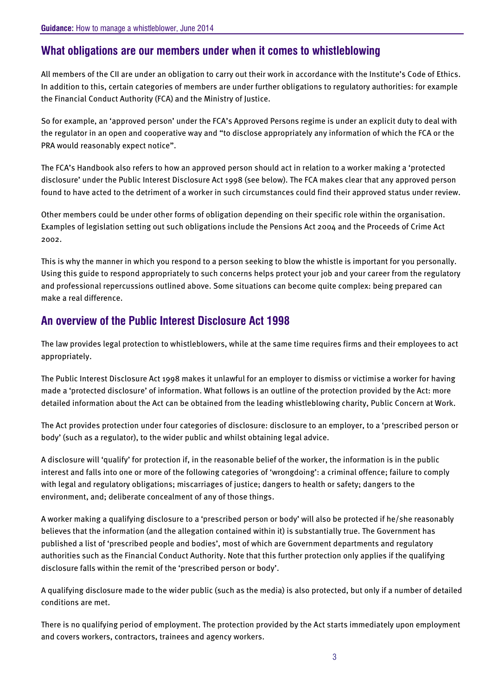# **What obligations are our members under when it comes to whistleblowing**

All members of the CII are under an obligation to carry out their work in accordance with the Institute's Code of Ethics. In addition to this, certain categories of members are under further obligations to regulatory authorities: for example the Financial Conduct Authority (FCA) and the Ministry of Justice.

So for example, an 'approved person' under the FCA's Approved Persons regime is under an explicit duty to deal with the regulator in an open and cooperative way and "to disclose appropriately any information of which the FCA or the PRA would reasonably expect notice".

The FCA's Handbook also refers to how an approved person should act in relation to a worker making a 'protected disclosure' under the Public Interest Disclosure Act 1998 (see below). The FCA makes clear that any approved person found to have acted to the detriment of a worker in such circumstances could find their approved status under review.

Other members could be under other forms of obligation depending on their specific role within the organisation. Examples of legislation setting out such obligations include the Pensions Act 2004 and the Proceeds of Crime Act 2002.

This is why the manner in which you respond to a person seeking to blow the whistle is important for you personally. Using this guide to respond appropriately to such concerns helps protect your job and your career from the regulatory and professional repercussions outlined above. Some situations can become quite complex: being prepared can make a real difference.

# **An overview of the Public Interest Disclosure Act 1998**

The law provides legal protection to whistleblowers, while at the same time requires firms and their employees to act appropriately.

The Public Interest Disclosure Act 1998 makes it unlawful for an employer to dismiss or victimise a worker for having made a 'protected disclosure' of information. What follows is an outline of the protection provided by the Act: more detailed information about the Act can be obtained from the leading whistleblowing charity, Public Concern at Work.

The Act provides protection under four categories of disclosure: disclosure to an employer, to a 'prescribed person or body' (such as a regulator), to the wider public and whilst obtaining legal advice.

A disclosure will 'qualify' for protection if, in the reasonable belief of the worker, the information is in the public interest and falls into one or more of the following categories of 'wrongdoing': a criminal offence; failure to comply with legal and regulatory obligations; miscarriages of justice; dangers to health or safety; dangers to the environment, and; deliberate concealment of any of those things.

A worker making a qualifying disclosure to a 'prescribed person or body' will also be protected if he/she reasonably believes that the information (and the allegation contained within it) is substantially true. The Government has published a list of 'prescribed people and bodies', most of which are Government departments and regulatory authorities such as the Financial Conduct Authority. Note that this further protection only applies if the qualifying disclosure falls within the remit of the 'prescribed person or body'.

A qualifying disclosure made to the wider public (such as the media) is also protected, but only if a number of detailed conditions are met.

There is no qualifying period of employment. The protection provided by the Act starts immediately upon employment and covers workers, contractors, trainees and agency workers.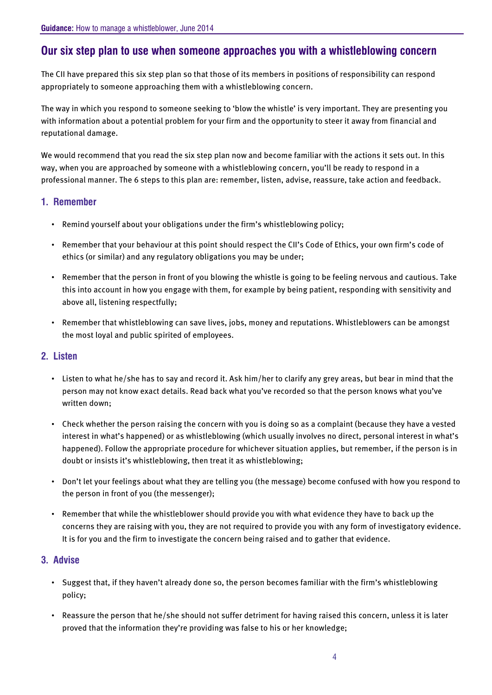# **Our six step plan to use when someone approaches you with a whistleblowing concern**

The CII have prepared this six step plan so that those of its members in positions of responsibility can respond appropriately to someone approaching them with a whistleblowing concern.

The way in which you respond to someone seeking to 'blow the whistle' is very important. They are presenting you with information about a potential problem for your firm and the opportunity to steer it away from financial and reputational damage.

We would recommend that you read the six step plan now and become familiar with the actions it sets out. In this way, when you are approached by someone with a whistleblowing concern, you'll be ready to respond in a professional manner. The 6 steps to this plan are: remember, listen, advise, reassure, take action and feedback.

#### **1. Remember**

- Remind yourself about your obligations under the firm's whistleblowing policy;
- Remember that your behaviour at this point should respect the CII's Code of Ethics, your own firm's code of ethics (or similar) and any regulatory obligations you may be under;
- Remember that the person in front of you blowing the whistle is going to be feeling nervous and cautious. Take this into account in how you engage with them, for example by being patient, responding with sensitivity and above all, listening respectfully;
- Remember that whistleblowing can save lives, jobs, money and reputations. Whistleblowers can be amongst the most loyal and public spirited of employees.

#### **2. Listen**

- Listen to what he/she has to say and record it. Ask him/her to clarify any grey areas, but bear in mind that the person may not know exact details. Read back what you've recorded so that the person knows what you've written down;
- Check whether the person raising the concern with you is doing so as a complaint (because they have a vested interest in what's happened) or as whistleblowing (which usually involves no direct, personal interest in what's happened). Follow the appropriate procedure for whichever situation applies, but remember, if the person is in doubt or insists it's whistleblowing, then treat it as whistleblowing;
- Don't let your feelings about what they are telling you (the message) become confused with how you respond to the person in front of you (the messenger);
- Remember that while the whistleblower should provide you with what evidence they have to back up the concerns they are raising with you, they are not required to provide you with any form of investigatory evidence. It is for you and the firm to investigate the concern being raised and to gather that evidence.

#### **3. Advise**

- Suggest that, if they haven't already done so, the person becomes familiar with the firm's whistleblowing policy;
- Reassure the person that he/she should not suffer detriment for having raised this concern, unless it is later proved that the information they're providing was false to his or her knowledge;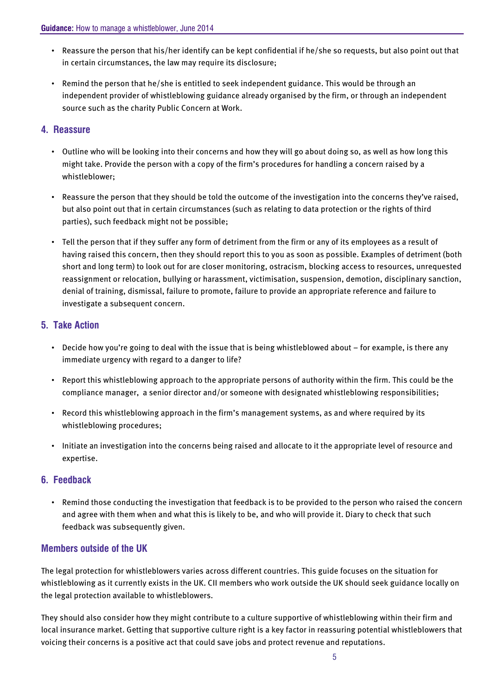- Reassure the person that his/her identify can be kept confidential if he/she so requests, but also point out that in certain circumstances, the law may require its disclosure;
- Remind the person that he/she is entitled to seek independent guidance. This would be through an independent provider of whistleblowing guidance already organised by the firm, or through an independent source such as the charity Public Concern at Work.

#### **4. Reassure**

- Outline who will be looking into their concerns and how they will go about doing so, as well as how long this might take. Provide the person with a copy of the firm's procedures for handling a concern raised by a whistleblower;
- Reassure the person that they should be told the outcome of the investigation into the concerns they've raised, but also point out that in certain circumstances (such as relating to data protection or the rights of third parties), such feedback might not be possible;
- Tell the person that if they suffer any form of detriment from the firm or any of its employees as a result of having raised this concern, then they should report this to you as soon as possible. Examples of detriment (both short and long term) to look out for are closer monitoring, ostracism, blocking access to resources, unrequested reassignment or relocation, bullying or harassment, victimisation, suspension, demotion, disciplinary sanction, denial of training, dismissal, failure to promote, failure to provide an appropriate reference and failure to investigate a subsequent concern.

#### **5. Take Action**

- Decide how you're going to deal with the issue that is being whistleblowed about for example, is there any immediate urgency with regard to a danger to life?
- Report this whistleblowing approach to the appropriate persons of authority within the firm. This could be the compliance manager, a senior director and/or someone with designated whistleblowing responsibilities;
- Record this whistleblowing approach in the firm's management systems, as and where required by its whistleblowing procedures;
- Initiate an investigation into the concerns being raised and allocate to it the appropriate level of resource and expertise.

#### **6. Feedback**

• Remind those conducting the investigation that feedback is to be provided to the person who raised the concern and agree with them when and what this is likely to be, and who will provide it. Diary to check that such feedback was subsequently given.

#### **Members outside of the UK**

The legal protection for whistleblowers varies across different countries. This guide focuses on the situation for whistleblowing as it currently exists in the UK. CII members who work outside the UK should seek guidance locally on the legal protection available to whistleblowers.

They should also consider how they might contribute to a culture supportive of whistleblowing within their firm and local insurance market. Getting that supportive culture right is a key factor in reassuring potential whistleblowers that voicing their concerns is a positive act that could save jobs and protect revenue and reputations.